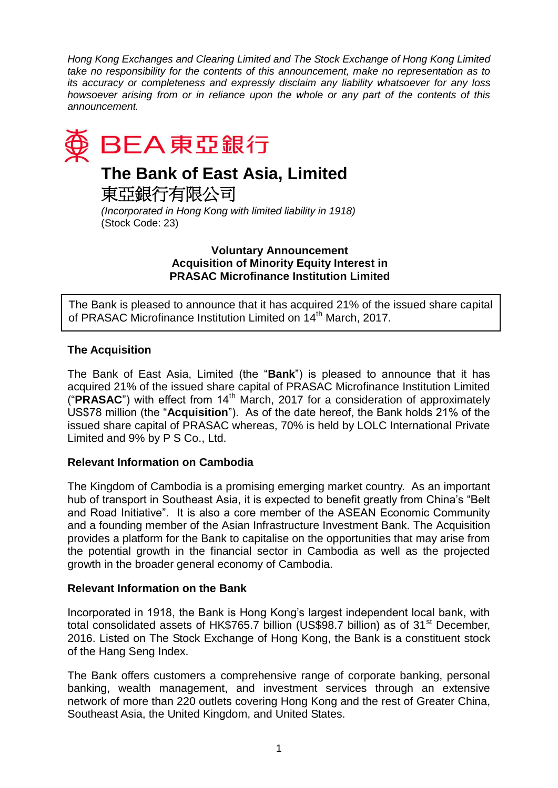*Hong Kong Exchanges and Clearing Limited and The Stock Exchange of Hong Kong Limited take no responsibility for the contents of this announcement, make no representation as to its accuracy or completeness and expressly disclaim any liability whatsoever for any loss howsoever arising from or in reliance upon the whole or any part of the contents of this announcement.*



# **The Bank of East Asia, Limited**

東亞銀行有限公司

*(Incorporated in Hong Kong with limited liability in 1918)* (Stock Code: 23)

#### **Voluntary Announcement Acquisition of Minority Equity Interest in PRASAC Microfinance Institution Limited**

The Bank is pleased to announce that it has acquired 21% of the issued share capital of PRASAC Microfinance Institution Limited on 14<sup>th</sup> March, 2017.

## **The Acquisition**

The Bank of East Asia, Limited (the "**Bank**") is pleased to announce that it has acquired 21% of the issued share capital of PRASAC Microfinance Institution Limited ("**PRASAC**") with effect from 14<sup>th</sup> March, 2017 for a consideration of approximately US\$78 million (the "**Acquisition**"). As of the date hereof, the Bank holds 21% of the issued share capital of PRASAC whereas, 70% is held by LOLC International Private Limited and 9% by P S Co., Ltd.

## **Relevant Information on Cambodia**

The Kingdom of Cambodia is a promising emerging market country. As an important hub of transport in Southeast Asia, it is expected to benefit greatly from China's "Belt and Road Initiative". It is also a core member of the ASEAN Economic Community and a founding member of the Asian Infrastructure Investment Bank. The Acquisition provides a platform for the Bank to capitalise on the opportunities that may arise from the potential growth in the financial sector in Cambodia as well as the projected growth in the broader general economy of Cambodia.

## **Relevant Information on the Bank**

Incorporated in 1918, the Bank is Hong Kong's largest independent local bank, with total consolidated assets of HK\$765.7 billion (US\$98.7 billion) as of 31<sup>st</sup> December, 2016. Listed on The Stock Exchange of Hong Kong, the Bank is a constituent stock of the Hang Seng Index.

The Bank offers customers a comprehensive range of corporate banking, personal banking, wealth management, and investment services through an extensive network of more than 220 outlets covering Hong Kong and the rest of Greater China, Southeast Asia, the United Kingdom, and United States.